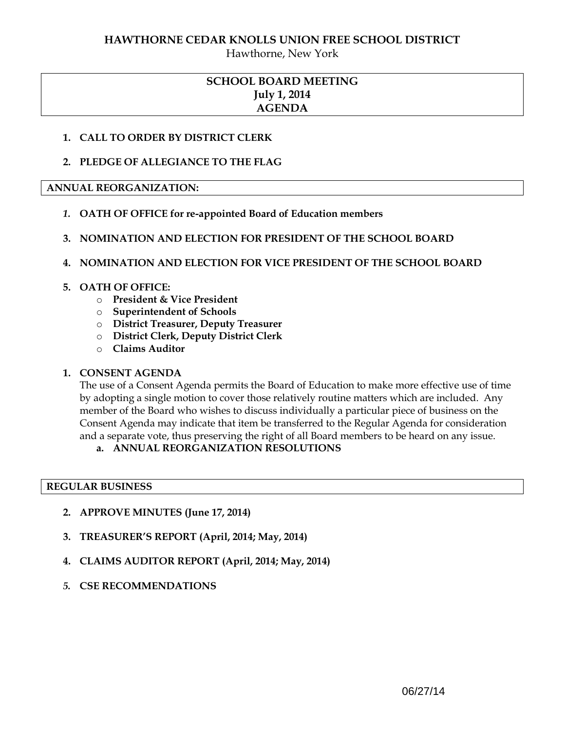## **HAWTHORNE CEDAR KNOLLS UNION FREE SCHOOL DISTRICT**

Hawthorne, New York

# **SCHOOL BOARD MEETING July 1, 2014 AGENDA**

## **1. CALL TO ORDER BY DISTRICT CLERK**

## **2. PLEDGE OF ALLEGIANCE TO THE FLAG**

## **ANNUAL REORGANIZATION:**

- *1.* **OATH OF OFFICE for re-appointed Board of Education members**
- **3. NOMINATION AND ELECTION FOR PRESIDENT OF THE SCHOOL BOARD**

## **4. NOMINATION AND ELECTION FOR VICE PRESIDENT OF THE SCHOOL BOARD**

## **5. OATH OF OFFICE:**

- o **President & Vice President**
- o **Superintendent of Schools**
- o **District Treasurer, Deputy Treasurer**
- o **District Clerk, Deputy District Clerk**
- o **Claims Auditor**

# **1. CONSENT AGENDA**

The use of a Consent Agenda permits the Board of Education to make more effective use of time by adopting a single motion to cover those relatively routine matters which are included. Any member of the Board who wishes to discuss individually a particular piece of business on the Consent Agenda may indicate that item be transferred to the Regular Agenda for consideration and a separate vote, thus preserving the right of all Board members to be heard on any issue.

# **a. ANNUAL REORGANIZATION RESOLUTIONS**

## **REGULAR BUSINESS**

- **2. APPROVE MINUTES (June 17, 2014)**
- **3. TREASURER'S REPORT (April, 2014; May, 2014)**
- **4. CLAIMS AUDITOR REPORT (April, 2014; May, 2014)**
- *5.* **CSE RECOMMENDATIONS**